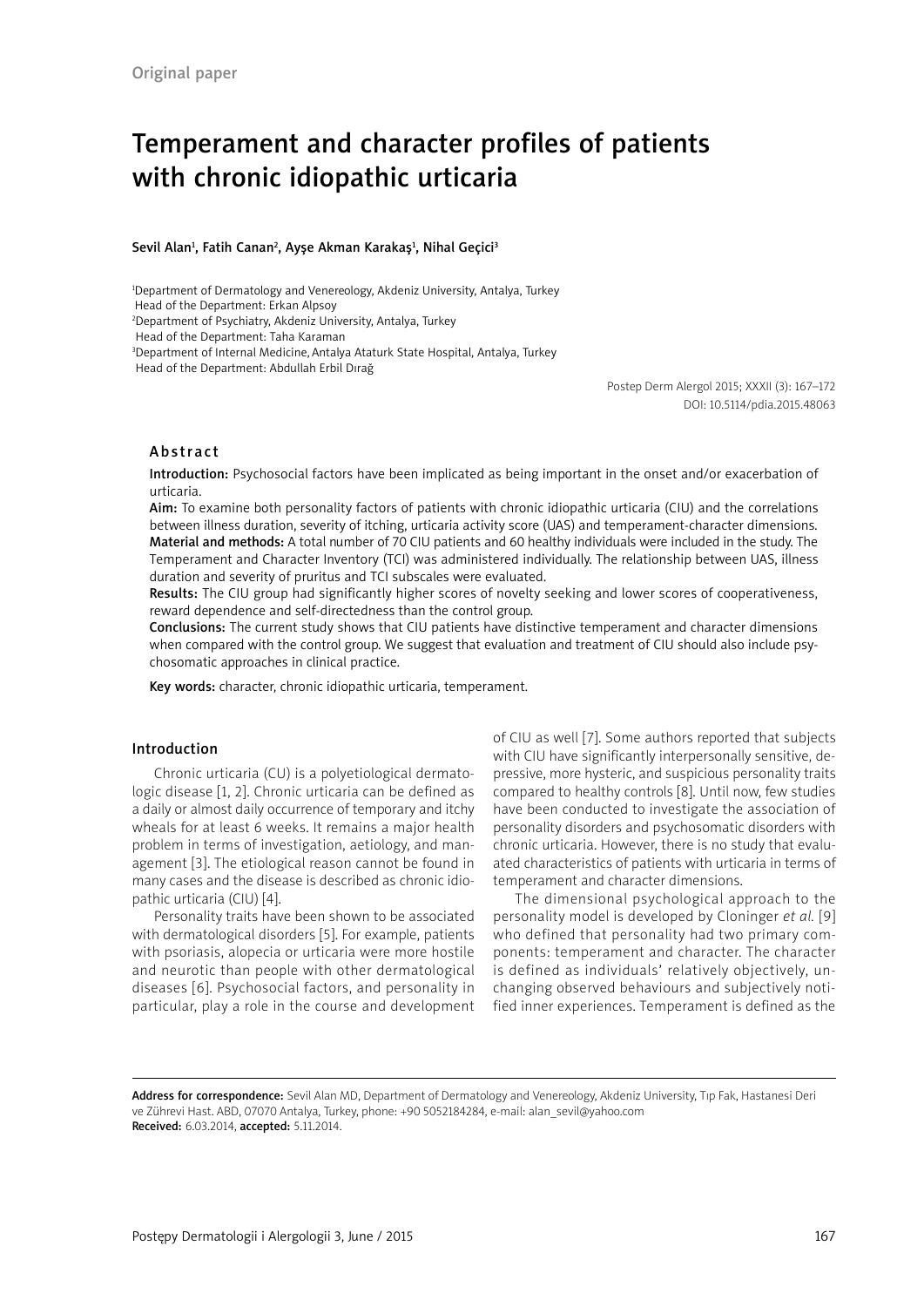# Temperament and character profiles of patients with chronic idiopathic urticaria

#### Sevil Alan<sup>1</sup>, Fatih Canan<sup>2</sup>, Ayşe Akman Karakaş<sup>1</sup>, Nihal Geçici<sup>3</sup>

1 Department of Dermatology and Venereology, Akdeniz University, Antalya, Turkey

Head of the Department: Erkan Alpsoy

2 Department of Psychiatry, Akdeniz University, Antalya, Turkey

Head of the Department: Taha Karaman

3 Department of Internal Medicine, Antalya Ataturk State Hospital, Antalya, Turkey

Head of the Department: Abdullah Erbil Dırağ

Postep Derm Alergol 2015; XXXII (3): 167–172 DOI: 10.5114/pdia.2015.48063

## Abstract

Introduction: Psychosocial factors have been implicated as being important in the onset and/or exacerbation of urticaria.

Aim: To examine both personality factors of patients with chronic idiopathic urticaria (CIU) and the correlations between illness duration, severity of itching, urticaria activity score (UAS) and temperament-character dimensions. Material and methods: A total number of 70 CIU patients and 60 healthy individuals were included in the study. The Temperament and Character Inventory (TCI) was administered individually. The relationship between UAS, illness duration and severity of pruritus and TCI subscales were evaluated.

Results: The CIU group had significantly higher scores of novelty seeking and lower scores of cooperativeness, reward dependence and self-directedness than the control group.

Conclusions: The current study shows that CIU patients have distinctive temperament and character dimensions when compared with the control group. We suggest that evaluation and treatment of CIU should also include psychosomatic approaches in clinical practice.

Key words: character, chronic idiopathic urticaria, temperament.

#### Introduction

Chronic urticaria (CU) is a polyetiological dermatologic disease [1, 2]. Chronic urticaria can be defined as a daily or almost daily occurrence of temporary and itchy wheals for at least 6 weeks. It remains a major health problem in terms of investigation, aetiology, and management [3]. The etiological reason cannot be found in many cases and the disease is described as chronic idiopathic urticaria (CIU) [4].

Personality traits have been shown to be associated with dermatological disorders [5]. For example, patients with psoriasis, alopecia or urticaria were more hostile and neurotic than people with other dermatological diseases [6]. Psychosocial factors, and personality in particular, play a role in the course and development of CIU as well [7]. Some authors reported that subjects with CIU have significantly interpersonally sensitive, depressive, more hysteric, and suspicious personality traits compared to healthy controls [8]. Until now, few studies have been conducted to investigate the association of personality disorders and psychosomatic disorders with chronic urticaria. However, there is no study that evaluated characteristics of patients with urticaria in terms of temperament and character dimensions.

The dimensional psychological approach to the personality model is developed by Cloninger *et al.* [9] who defined that personality had two primary components: temperament and character. The character is defined as individuals' relatively objectively, unchanging observed behaviours and subjectively notified inner experiences. Temperament is defined as the

Address for correspondence: Sevil Alan MD, Department of Dermatology and Venereology, Akdeniz University, Tıp Fak, Hastanesi Deri ve Zührevi Hast. ABD, 07070 Antalya, Turkey, phone: +90 5052184284, e-mail: alan\_sevil@yahoo.com Received: 6.03.2014, accepted: 5.11.2014.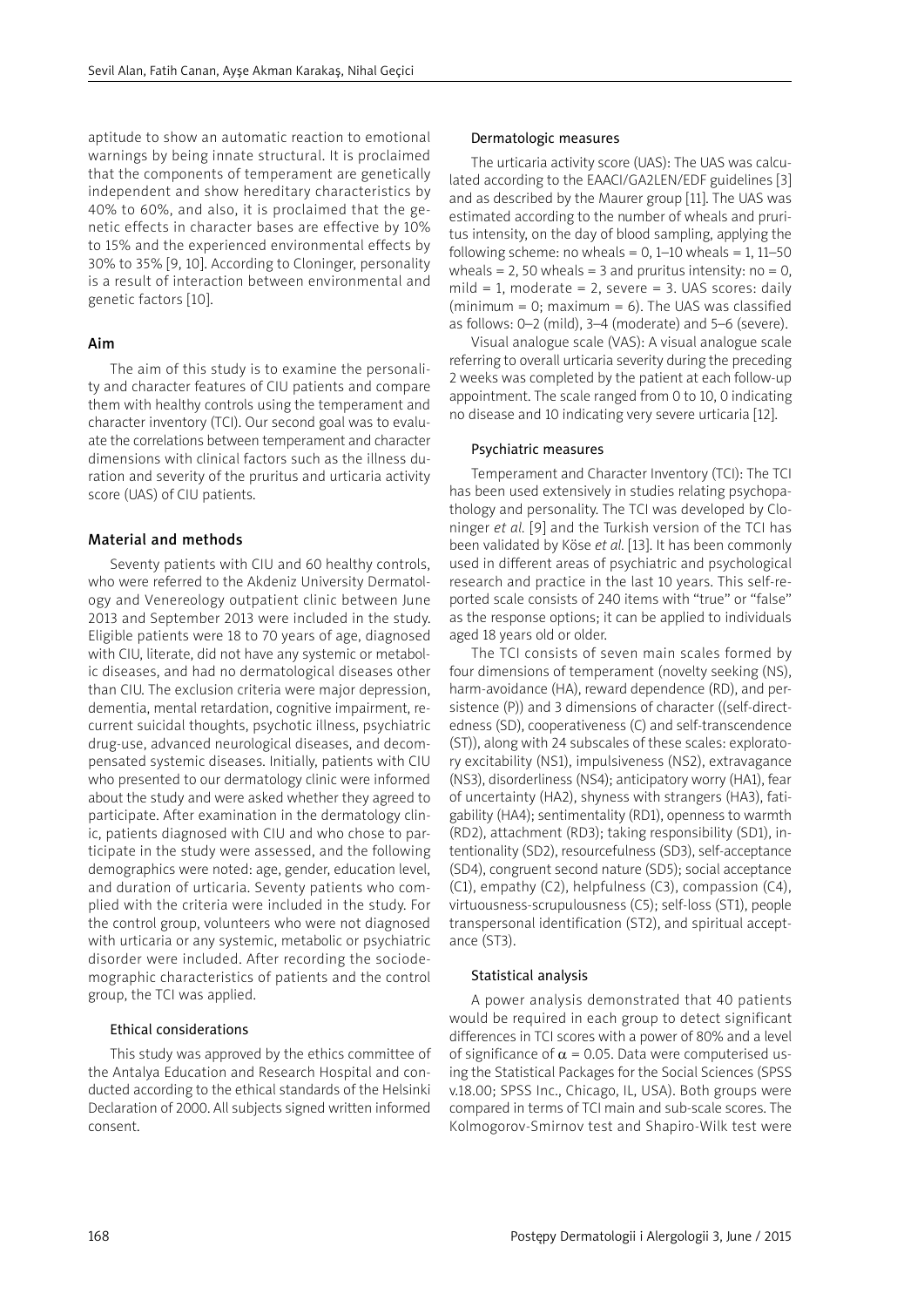aptitude to show an automatic reaction to emotional warnings by being innate structural. It is proclaimed that the components of temperament are genetically independent and show hereditary characteristics by 40% to 60%, and also, it is proclaimed that the genetic effects in character bases are effective by 10% to 15% and the experienced environmental effects by 30% to 35% [9, 10]. According to Cloninger, personality is a result of interaction between environmental and genetic factors [10].

## Aim

The aim of this study is to examine the personality and character features of CIU patients and compare them with healthy controls using the temperament and character inventory (TCI). Our second goal was to evaluate the correlations between temperament and character dimensions with clinical factors such as the illness duration and severity of the pruritus and urticaria activity score (UAS) of CIU patients.

## Material and methods

Seventy patients with CIU and 60 healthy controls, who were referred to the Akdeniz University Dermatology and Venereology outpatient clinic between June 2013 and September 2013 were included in the study. Eligible patients were 18 to 70 years of age, diagnosed with CIU, literate, did not have any systemic or metabolic diseases, and had no dermatological diseases other than CIU. The exclusion criteria were major depression, dementia, mental retardation, cognitive impairment, recurrent suicidal thoughts, psychotic illness, psychiatric drug-use, advanced neurological diseases, and decompensated systemic diseases. Initially, patients with CIU who presented to our dermatology clinic were informed about the study and were asked whether they agreed to participate. After examination in the dermatology clinic, patients diagnosed with CIU and who chose to participate in the study were assessed, and the following demographics were noted: age, gender, education level, and duration of urticaria. Seventy patients who complied with the criteria were included in the study. For the control group, volunteers who were not diagnosed with urticaria or any systemic, metabolic or psychiatric disorder were included. After recording the sociodemographic characteristics of patients and the control group, the TCI was applied.

## Ethical considerations

This study was approved by the ethics committee of the Antalya Education and Research Hospital and conducted according to the ethical standards of the Helsinki Declaration of 2000. All subjects signed written informed consent.

#### Dermatologic measures

The urticaria activity score (UAS): The UAS was calculated according to the EAACI/GA2LEN/EDF guidelines [3] and as described by the Maurer group [11]. The UAS was estimated according to the number of wheals and pruritus intensity, on the day of blood sampling, applying the following scheme: no wheals =  $0, 1-10$  wheals = 1, 11-50 wheals = 2, 50 wheals = 3 and pruritus intensity:  $no = 0$ , mild = 1, moderate = 2, severe = 3. UAS scores: daily (minimum =  $0$ ; maximum =  $6$ ). The UAS was classified as follows: 0–2 (mild), 3–4 (moderate) and 5–6 (severe).

Visual analogue scale (VAS): A visual analogue scale referring to overall urticaria severity during the preceding 2 weeks was completed by the patient at each follow-up appointment. The scale ranged from 0 to 10, 0 indicating no disease and 10 indicating very severe urticaria [12].

#### Psychiatric measures

Temperament and Character Inventory (TCI): The TCI has been used extensively in studies relating psychopathology and personality. The TCI was developed by Cloninger *et al.* [9] and the Turkish version of the TCI has been validated by Köse *et al.* [13]. It has been commonly used in different areas of psychiatric and psychological research and practice in the last 10 years. This self-reported scale consists of 240 items with "true" or "false" as the response options; it can be applied to individuals aged 18 years old or older.

The TCI consists of seven main scales formed by four dimensions of temperament (novelty seeking (NS), harm-avoidance (HA), reward dependence (RD), and persistence (P)) and 3 dimensions of character ((self-directedness (SD), cooperativeness (C) and self-transcendence (ST)), along with 24 subscales of these scales: exploratory excitability (NS1), impulsiveness (NS2), extravagance (NS3), disorderliness (NS4); anticipatory worry (HA1), fear of uncertainty (HA2), shyness with strangers (HA3), fatigability (HA4); sentimentality (RD1), openness to warmth (RD2), attachment (RD3); taking responsibility (SD1), intentionality (SD2), resourcefulness (SD3), self-acceptance (SD4), congruent second nature (SD5); social acceptance (C1), empathy (C2), helpfulness (C3), compassion (C4), virtuousness-scrupulousness (C5); self-loss (ST1), people transpersonal identification (ST2), and spiritual acceptance (ST3).

## Statistical analysis

A power analysis demonstrated that 40 patients would be required in each group to detect significant differences in TCI scores with a power of 80% and a level of significance of  $\alpha$  = 0.05. Data were computerised using the Statistical Packages for the Social Sciences (SPSS v.18.00; SPSS Inc., Chicago, IL, USA). Both groups were compared in terms of TCI main and sub-scale scores. The Kolmogorov-Smirnov test and Shapiro-Wilk test were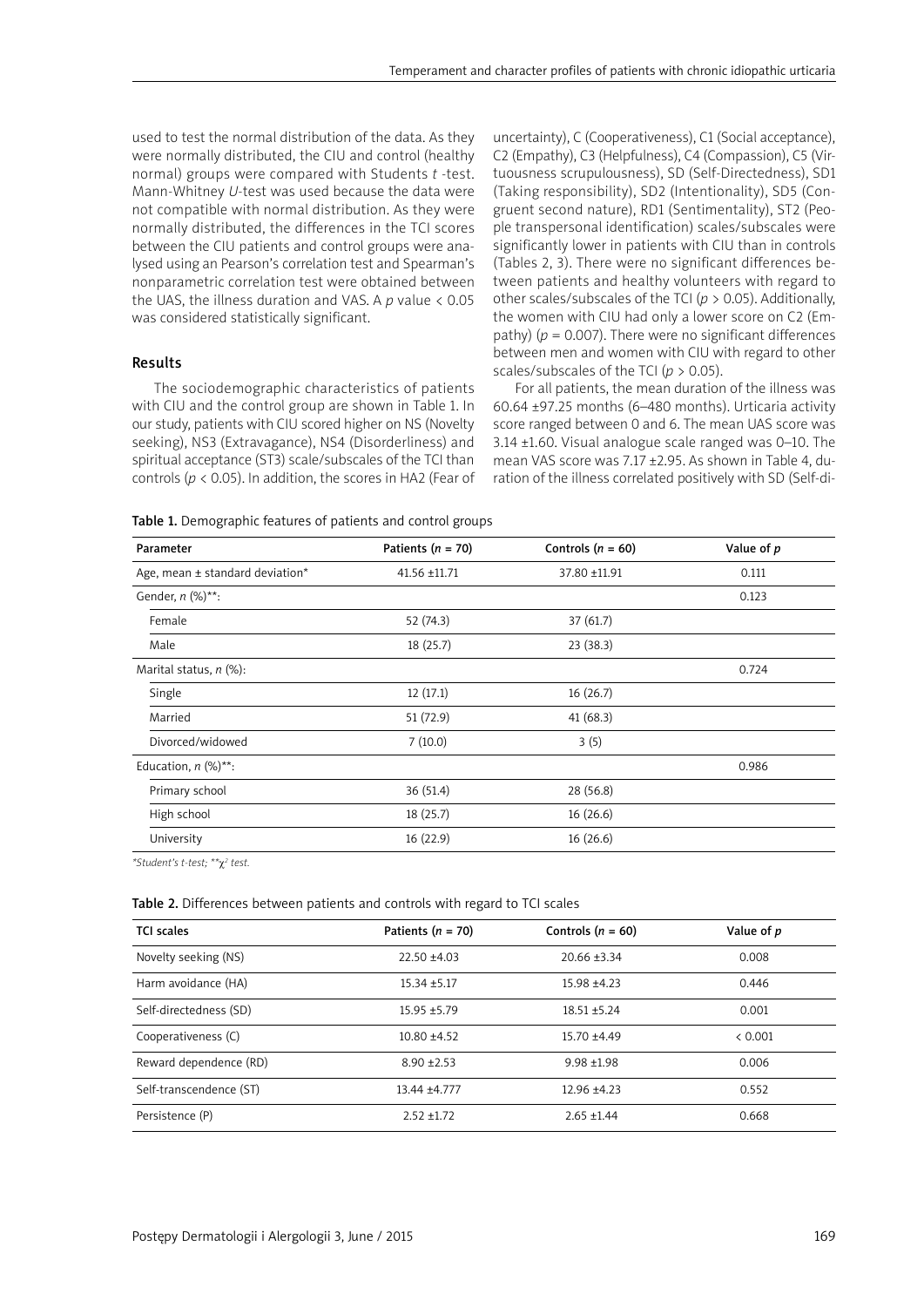used to test the normal distribution of the data. As they were normally distributed, the CIU and control (healthy normal) groups were compared with Students *t* -test. Mann-Whitney *U*-test was used because the data were not compatible with normal distribution. As they were normally distributed, the differences in the TCI scores between the CIU patients and control groups were analysed using an Pearson's correlation test and Spearman's nonparametric correlation test were obtained between the UAS, the illness duration and VAS. A *p* value < 0.05 was considered statistically significant.

## Results

The sociodemographic characteristics of patients with CIU and the control group are shown in Table 1. In our study, patients with CIU scored higher on NS (Novelty seeking), NS3 (Extravagance), NS4 (Disorderliness) and spiritual acceptance (ST3) scale/subscales of the TCI than controls (*p* < 0.05). In addition, the scores in HA2 (Fear of uncertainty), C (Cooperativeness), C1 (Social acceptance), C2 (Empathy), C3 (Helpfulness), C4 (Compassion), C5 (Virtuousness scrupulousness), SD (Self-Directedness), SD1 (Taking responsibility), SD2 (Intentionality), SD5 (Congruent second nature), RD1 (Sentimentality), ST2 (People transpersonal identification) scales/subscales were significantly lower in patients with CIU than in controls (Tables 2, 3). There were no significant differences between patients and healthy volunteers with regard to other scales/subscales of the TCI (*p* > 0.05). Additionally, the women with CIU had only a lower score on C2 (Empathy) ( $p = 0.007$ ). There were no significant differences between men and women with CIU with regard to other scales/subscales of the TCI (*p* > 0.05).

For all patients, the mean duration of the illness was 60.64 ±97.25 months (6–480 months). Urticaria activity score ranged between 0 and 6. The mean UAS score was 3.14 ±1.60. Visual analogue scale ranged was 0–10. The mean VAS score was 7.17 ±2.95. As shown in Table 4, duration of the illness correlated positively with SD (Self-di-

| Table 1. Demographic features of patients and control groups |  |  |
|--------------------------------------------------------------|--|--|
|--------------------------------------------------------------|--|--|

| Parameter                           | Patients ( $n = 70$ ) | Controls ( $n = 60$ ) | Value of p |
|-------------------------------------|-----------------------|-----------------------|------------|
| Age, mean $\pm$ standard deviation* | 41.56 ±11.71          | 37.80 ±11.91          | 0.111      |
| Gender, $n$ (%)**:                  |                       |                       | 0.123      |
| Female                              | 52 (74.3)             | 37(61.7)              |            |
| Male                                | 18(25.7)              | 23(38.3)              |            |
| Marital status, $n$ (%):            |                       |                       | 0.724      |
| Single                              | 12(17.1)              | 16(26.7)              |            |
| Married                             | 51 (72.9)             | 41(68.3)              |            |
| Divorced/widowed                    | 7(10.0)               | 3(5)                  |            |
| Education, $n$ (%)**:               |                       |                       | 0.986      |
| Primary school                      | 36 (51.4)             | 28 (56.8)             |            |
| High school                         | 18(25.7)              | 16(26.6)              |            |
| University                          | 16(22.9)              | 16(26.6)              |            |

*\*Student's t-test; \*\**c*<sup>2</sup> test.*

#### Table 2. Differences between patients and controls with regard to TCI scales

| <b>TCI scales</b>       | Patients ( $n = 70$ ) | Controls $(n = 60)$ | Value of p |
|-------------------------|-----------------------|---------------------|------------|
| Novelty seeking (NS)    | $22.50 + 4.03$        | $20.66 \pm 3.34$    | 0.008      |
| Harm avoidance (HA)     | $15.34 + 5.17$        | $15.98 + 4.23$      | 0.446      |
| Self-directedness (SD)  | $15.95 + 5.79$        | $18.51 + 5.24$      | 0.001      |
| Cooperativeness (C)     | $10.80 + 4.52$        | $15.70 + 4.49$      | < 0.001    |
| Reward dependence (RD)  | $8.90 + 2.53$         | $9.98 + 1.98$       | 0.006      |
| Self-transcendence (ST) | $13.44 + 4.777$       | $12.96 + 4.23$      | 0.552      |
| Persistence (P)         | $2.52 + 1.72$         | $2.65 + 1.44$       | 0.668      |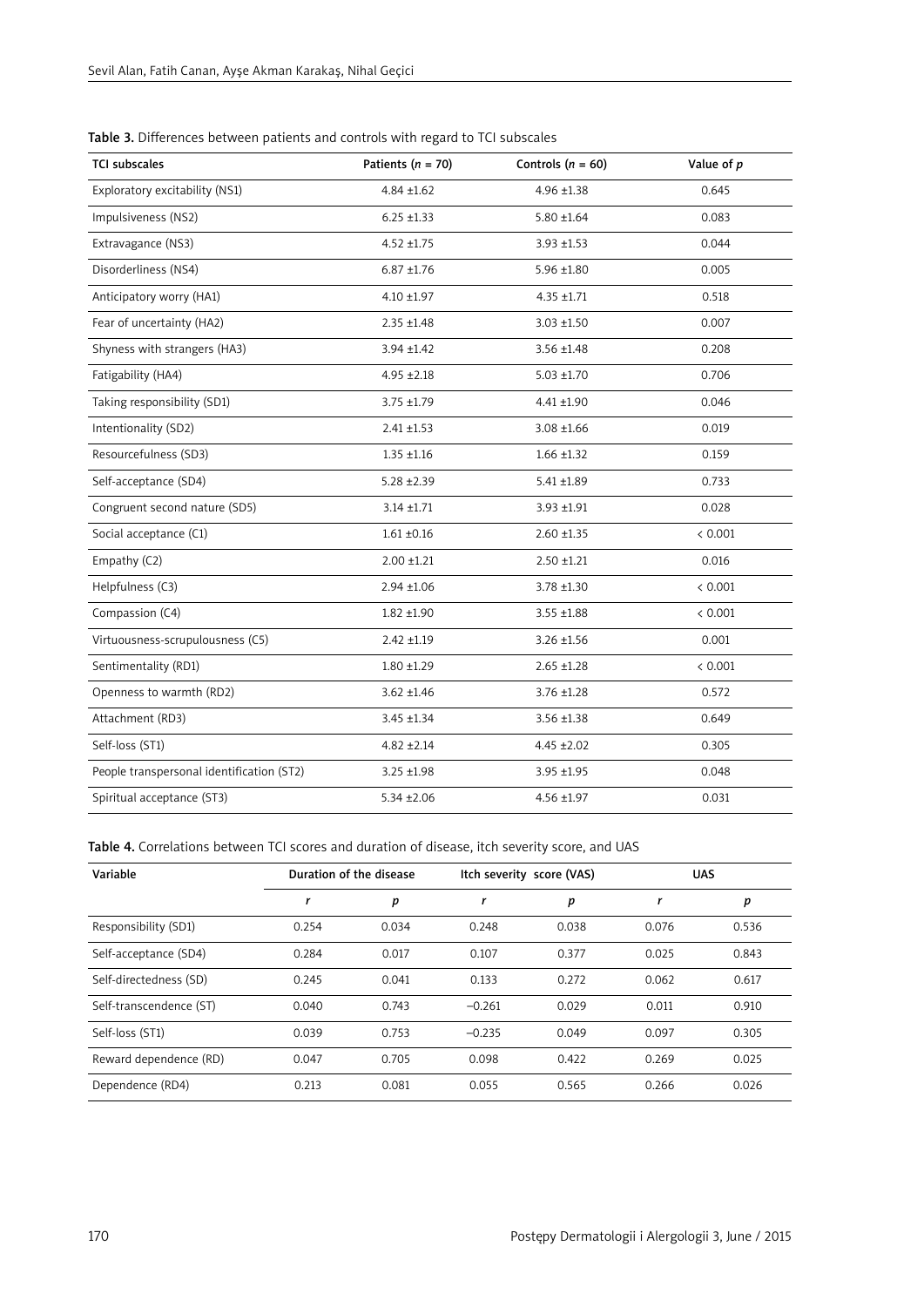| <b>TCI subscales</b>                      | Patients ( $n = 70$ ) | Controls $(n = 60)$ | Value of p |
|-------------------------------------------|-----------------------|---------------------|------------|
| Exploratory excitability (NS1)            | $4.84 \pm 1.62$       | $4.96 \pm 1.38$     | 0.645      |
| Impulsiveness (NS2)                       | $6.25 \pm 1.33$       | $5.80 \pm 1.64$     | 0.083      |
| Extravagance (NS3)                        | $4.52 + 1.75$         | $3.93 + 1.53$       | 0.044      |
| Disorderliness (NS4)                      | $6.87 + 1.76$         | $5.96 \pm 1.80$     | 0.005      |
| Anticipatory worry (HA1)                  | $4.10 \pm 1.97$       | $4.35 + 1.71$       | 0.518      |
| Fear of uncertainty (HA2)                 | $2.35 + 1.48$         | $3.03 + 1.50$       | 0.007      |
| Shyness with strangers (HA3)              | $3.94 \pm 1.42$       | $3.56 \pm 1.48$     | 0.208      |
| Fatigability (HA4)                        | $4.95 + 2.18$         | $5.03 \pm 1.70$     | 0.706      |
| Taking responsibility (SD1)               | $3.75 + 1.79$         | $4.41 \pm 1.90$     | 0.046      |
| Intentionality (SD2)                      | $2.41 \pm 1.53$       | $3.08 \pm 1.66$     | 0.019      |
| Resourcefulness (SD3)                     | $1.35 + 1.16$         | $1.66 \pm 1.32$     | 0.159      |
| Self-acceptance (SD4)                     | $5.28 \pm 2.39$       | $5.41 \pm 1.89$     | 0.733      |
| Congruent second nature (SD5)             | $3.14 \pm 1.71$       | 3.93 ±1.91          | 0.028      |
| Social acceptance (C1)                    | $1.61 + 0.16$         | $2.60 + 1.35$       | < 0.001    |
| Empathy (C2)                              | $2.00 + 1.21$         | $2.50 + 1.21$       | 0.016      |
| Helpfulness (C3)                          | $2.94 \pm 1.06$       | 3.78 ±1.30          | < 0.001    |
| Compassion (C4)                           | $1.82 + 1.90$         | $3.55 \pm 1.88$     | < 0.001    |
| Virtuousness-scrupulousness (C5)          | $2.42 + 1.19$         | $3.26 \pm 1.56$     | 0.001      |
| Sentimentality (RD1)                      | $1.80 + 1.29$         | $2.65 \pm 1.28$     | < 0.001    |
| Openness to warmth (RD2)                  | $3.62 \pm 1.46$       | $3.76 \pm 1.28$     | 0.572      |
| Attachment (RD3)                          | $3.45 + 1.34$         | $3.56 \pm 1.38$     | 0.649      |
| Self-loss (ST1)                           | $4.82 \pm 2.14$       | $4.45 \pm 2.02$     | 0.305      |
| People transpersonal identification (ST2) | $3.25 + 1.98$         | $3.95 + 1.95$       | 0.048      |
| Spiritual acceptance (ST3)                | $5.34 \pm 2.06$       | $4.56 + 1.97$       | 0.031      |

Table 3. Differences between patients and controls with regard to TCI subscales

Table 4. Correlations between TCI scores and duration of disease, itch severity score, and UAS

| Variable                |       | Duration of the disease |          | Itch severity score (VAS) |       | <b>UAS</b> |  |
|-------------------------|-------|-------------------------|----------|---------------------------|-------|------------|--|
|                         |       | p                       | r        | p                         |       | p          |  |
| Responsibility (SD1)    | 0.254 | 0.034                   | 0.248    | 0.038                     | 0.076 | 0.536      |  |
| Self-acceptance (SD4)   | 0.284 | 0.017                   | 0.107    | 0.377                     | 0.025 | 0.843      |  |
| Self-directedness (SD)  | 0.245 | 0.041                   | 0.133    | 0.272                     | 0.062 | 0.617      |  |
| Self-transcendence (ST) | 0.040 | 0.743                   | $-0.261$ | 0.029                     | 0.011 | 0.910      |  |
| Self-loss (ST1)         | 0.039 | 0.753                   | $-0.235$ | 0.049                     | 0.097 | 0.305      |  |
| Reward dependence (RD)  | 0.047 | 0.705                   | 0.098    | 0.422                     | 0.269 | 0.025      |  |
| Dependence (RD4)        | 0.213 | 0.081                   | 0.055    | 0.565                     | 0.266 | 0.026      |  |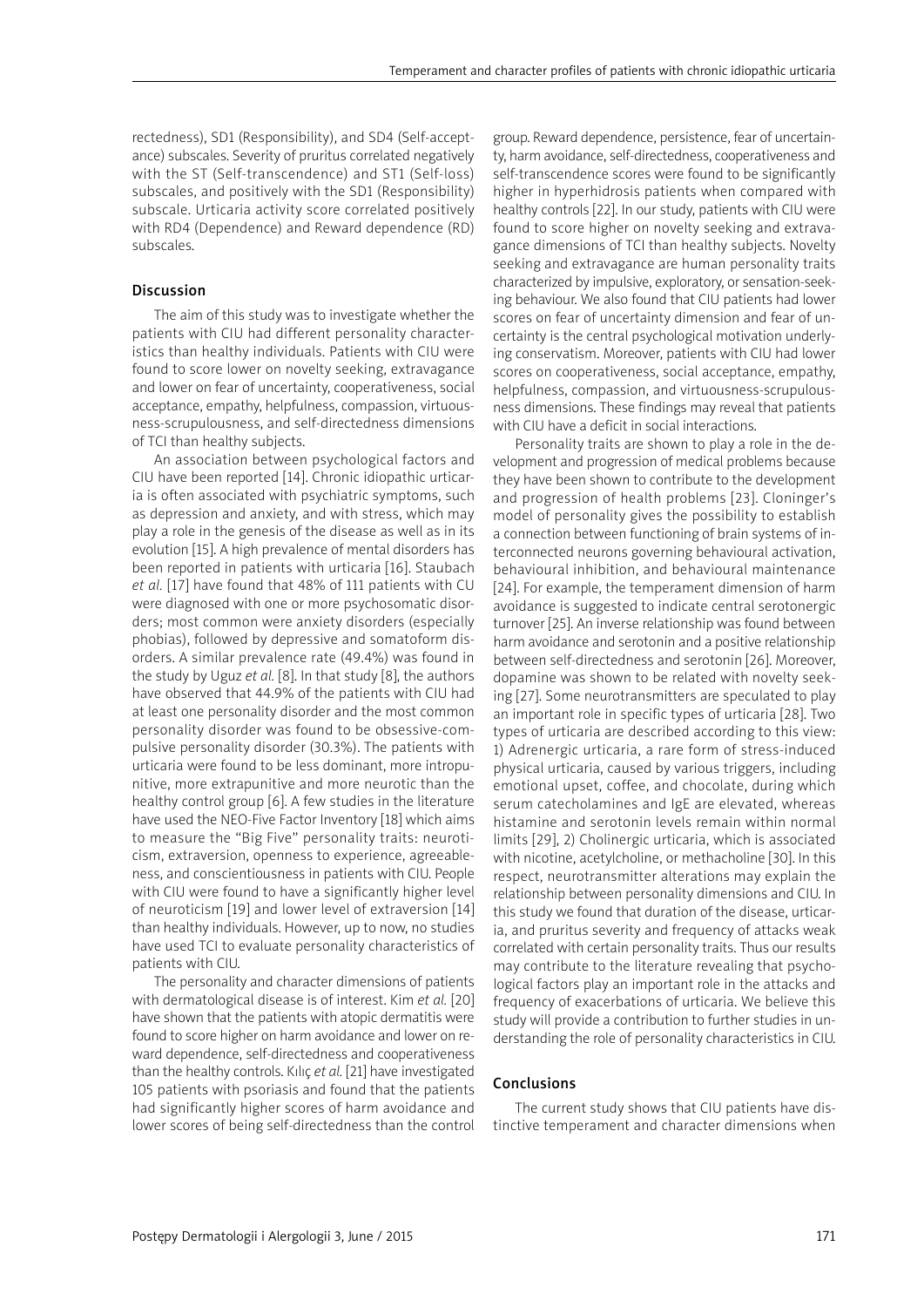rectedness), SD1 (Responsibility), and SD4 (Self-acceptance) subscales. Severity of pruritus correlated negatively with the ST (Self-transcendence) and ST1 (Self-loss) subscales, and positively with the SD1 (Responsibility) subscale. Urticaria activity score correlated positively with RD4 (Dependence) and Reward dependence (RD) subscales.

### Discussion

The aim of this study was to investigate whether the patients with CIU had different personality characteristics than healthy individuals. Patients with CIU were found to score lower on novelty seeking, extravagance and lower on fear of uncertainty, cooperativeness, social acceptance, empathy, helpfulness, compassion, virtuousness-scrupulousness, and self-directedness dimensions of TCI than healthy subjects.

An association between psychological factors and CIU have been reported [14]. Chronic idiopathic urticaria is often associated with psychiatric symptoms, such as depression and anxiety, and with stress, which may play a role in the genesis of the disease as well as in its evolution [15]. A high prevalence of mental disorders has been reported in patients with urticaria [16]. Staubach *et al.* [17] have found that 48% of 111 patients with CU were diagnosed with one or more psychosomatic disorders; most common were anxiety disorders (especially phobias), followed by depressive and somatoform disorders. A similar prevalence rate (49.4%) was found in the study by Uguz *et al.* [8]. In that study [8], the authors have observed that 44.9% of the patients with CIU had at least one personality disorder and the most common personality disorder was found to be obsessive-compulsive personality disorder (30.3%). The patients with urticaria were found to be less dominant, more intropunitive, more extrapunitive and more neurotic than the healthy control group [6]. A few studies in the literature have used the NEO-Five Factor Inventory [18] which aims to measure the "Big Five" personality traits: neuroticism, extraversion, openness to experience, agreeableness, and conscientiousness in patients with CIU. People with CIU were found to have a significantly higher level of neuroticism [19] and lower level of extraversion [14] than healthy individuals. However, up to now, no studies have used TCI to evaluate personality characteristics of patients with CIU.

The personality and character dimensions of patients with dermatological disease is of interest. Kim *et al.* [20] have shown that the patients with atopic dermatitis were found to score higher on harm avoidance and lower on reward dependence, self-directedness and cooperativeness than the healthy controls. Kılıç *et al.* [21] have investigated 105 patients with psoriasis and found that the patients had significantly higher scores of harm avoidance and lower scores of being self-directedness than the control group. Reward dependence, persistence, fear of uncertainty, harm avoidance, self-directedness, cooperativeness and self-transcendence scores were found to be significantly higher in hyperhidrosis patients when compared with healthy controls [22]. In our study, patients with CIU were found to score higher on novelty seeking and extravagance dimensions of TCI than healthy subjects. Novelty seeking and extravagance are human personality traits characterized by impulsive, exploratory, or sensation-seeking behaviour. We also found that CIU patients had lower scores on fear of uncertainty dimension and fear of uncertainty is the central psychological motivation underlying conservatism. Moreover, patients with CIU had lower scores on cooperativeness, social acceptance, empathy, helpfulness, compassion, and virtuousness-scrupulousness dimensions. These findings may reveal that patients with CIU have a deficit in social interactions.

Personality traits are shown to play a role in the development and progression of medical problems because they have been shown to contribute to the development and progression of health problems [23]. Cloninger's model of personality gives the possibility to establish a connection between functioning of brain systems of interconnected neurons governing behavioural activation, behavioural inhibition, and behavioural maintenance [24]. For example, the temperament dimension of harm avoidance is suggested to indicate central serotonergic turnover [25]. An inverse relationship was found between harm avoidance and serotonin and a positive relationship between self-directedness and serotonin [26]. Moreover, dopamine was shown to be related with novelty seeking [27]. Some neurotransmitters are speculated to play an important role in specific types of urticaria [28]. Two types of urticaria are described according to this view: 1) Adrenergic urticaria, a rare form of stress-induced physical urticaria, caused by various triggers, including emotional upset, coffee, and chocolate, during which serum catecholamines and IgE are elevated, whereas histamine and serotonin levels remain within normal limits [29], 2) Cholinergic urticaria, which is associated with nicotine, acetylcholine, or methacholine [30]. In this respect, neurotransmitter alterations may explain the relationship between personality dimensions and CIU. In this study we found that duration of the disease, urticaria, and pruritus severity and frequency of attacks weak correlated with certain personality traits. Thus our results may contribute to the literature revealing that psychological factors play an important role in the attacks and frequency of exacerbations of urticaria. We believe this study will provide a contribution to further studies in understanding the role of personality characteristics in CIU.

#### Conclusions

The current study shows that CIU patients have distinctive temperament and character dimensions when